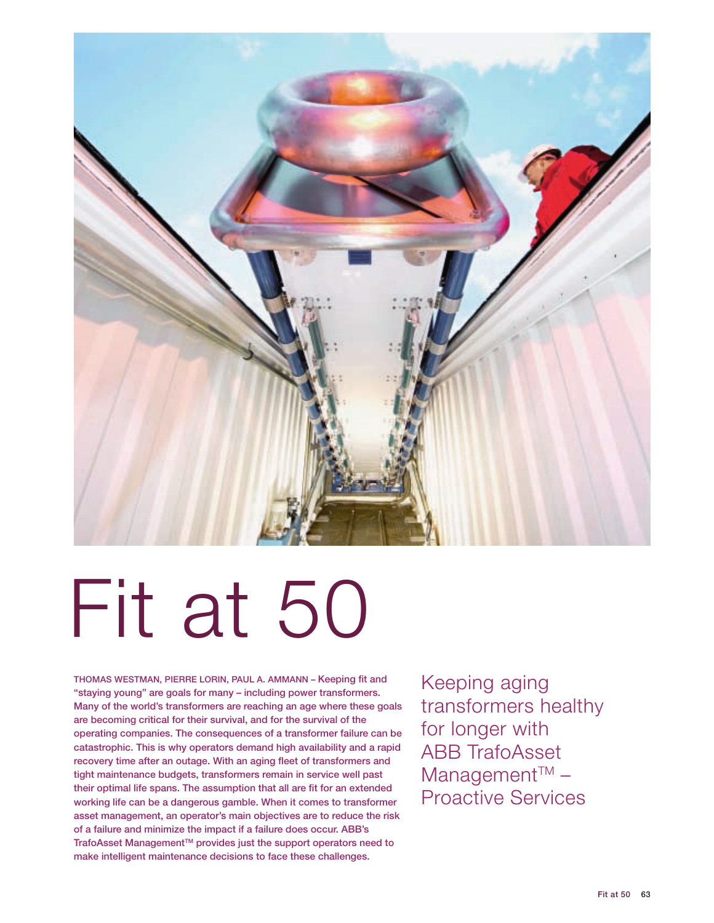

# Fit at 50

THOMAS WESTMAN, PIERRE LORIN, PAUL A. AMMANN - Keeping fit and "staying young" are goals for many – including power transformers. Many of the world's transformers are reaching an age where these goals are becoming critical for their survival, and for the survival of the operating companies. The consequences of a transformer failure can be catastrophic. This is why operators demand high availability and a rapid recovery time after an outage. With an aging fleet of transformers and tight maintenance budgets, transformers remain in service well past their optimal life spans. The assumption that all are fit for an extended working life can be a dangerous gamble. When it comes to transformer asset management, an operator's main objectives are to reduce the risk of a failure and minimize the impact if a failure does occur. ABB's TrafoAsset Management™ provides just the support operators need to make intelligent maintenance decisions to face these challenges.

Keeping aging transformers healthy for longer with ABB TrafoAsset  $M$ anagement<sup>™</sup> – Proactive Services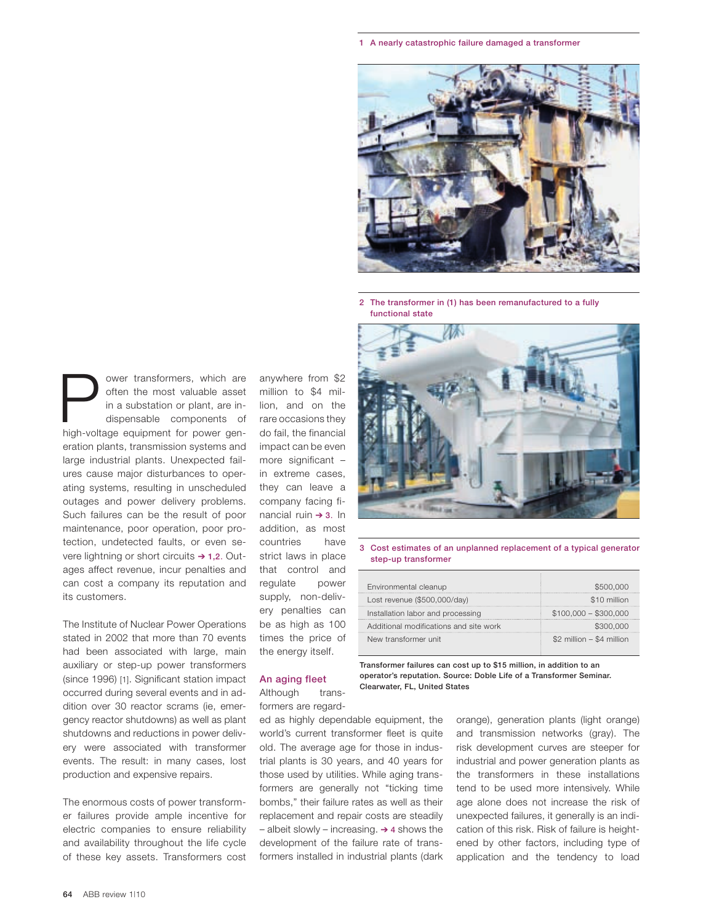1 A nearly catastrophic failure damaged a transformer



2 The transformer in (1) has been remanufactured to a fully functional state

**Follower transformers, which are often the most valuable asset in a substation or plant, are indispensable components of high-voltage equipment for power gen**often the most valuable asset in a substation or plant, are indispensable components of eration plants, transmission systems and large industrial plants. Unexpected failures cause major disturbances to operating systems, resulting in unscheduled outages and power delivery problems. Such failures can be the result of poor maintenance, poor operation, poor protection, undetected faults, or even severe lightning or short circuits  $\rightarrow$  1,2. Outages affect revenue, incur penalties and can cost a company its reputation and its customers.

The Institute of Nuclear Power Operations stated in 2002 that more than 70 events had been associated with large, main auxiliary or step-up power transformers (since 1996) [1]. Significant station impact occurred during several events and in addition over 30 reactor scrams (ie, emergency reactor shutdowns) as well as plant shutdowns and reductions in power delivery were associated with transformer events. The result: in many cases, lost production and expensive repairs.

The enormous costs of power transformer failures provide ample incentive for electric companies to ensure reliability and availability throughout the life cycle of these key assets. Transformers cost anywhere from \$2 million to \$4 million, and on the rare occasions they do fail, the financial impact can be even more significant – in extreme cases, they can leave a company facing financial ruin  $\rightarrow$  3. In addition, as most countries have strict laws in place that control and regulate power supply, non-delivery penalties can

be as high as 100 times the price of the energy itself.

# An aging fleet

Although transformers are regard-

ed as highly dependable equipment, the world's current transformer fleet is quite old. The average age for those in industrial plants is 30 years, and 40 years for those used by utilities. While aging transformers are generally not "ticking time bombs," their failure rates as well as their replacement and repair costs are steadily – albeit slowly – increasing.  $\rightarrow$  4 shows the development of the failure rate of transformers installed in industrial plants (dark



# 3 Cost estimates of an unplanned replacement of a typical generator step-up transformer

| Environmental cleanup                  | \$500,000                  |
|----------------------------------------|----------------------------|
| Lost revenue (\$500,000/day)           | \$10 million               |
| Installation labor and processing      | $$100,000 - $300,000$      |
| Additional modifications and site work | \$300,000                  |
| New transformer unit                   | $$2$ million - \$4 million |

Transformer failures can cost up to \$15 million, in addition to an operator's reputation. Source: Doble Life of a Transformer Seminar. Clearwater, FL, United States

> orange), generation plants (light orange) and transmission networks (gray). The risk development curves are steeper for industrial and power generation plants as the transformers in these installations tend to be used more intensively. While age alone does not increase the risk of unexpected failures, it generally is an indication of this risk. Risk of failure is heightened by other factors, including type of application and the tendency to load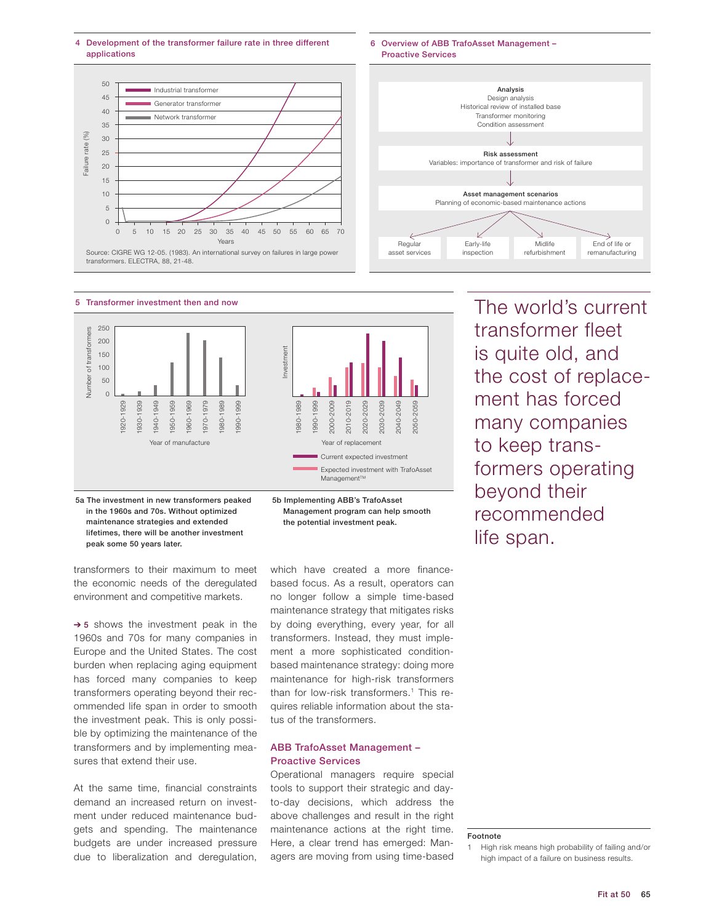4 Development of the transformer failure rate in three different applications





Early-life inspection

 $\overline{V}$ 

6 Overview of ABB TrafoAsset Management –

Regular asset services

5 Transformer investment then and now



5a The investment in new transformers peaked in the 1960s and 70s. Without optimized maintenance strategies and extended lifetimes, there will be another investment peak some 50 years later.

transformers to their maximum to meet the economic needs of the deregulated environment and competitive markets.

 $\rightarrow$  5 shows the investment peak in the 1960s and 70s for many companies in Europe and the United States. The cost burden when replacing aging equipment has forced many companies to keep transformers operating beyond their recommended life span in order to smooth the investment peak. This is only possible by optimizing the maintenance of the transformers and by implementing measures that extend their use.

At the same time, financial constraints demand an increased return on investment under reduced maintenance budgets and spending. The maintenance budgets are under increased pressure due to liberalization and deregulation,

which have created a more financebased focus. As a result, operators can no longer follow a simple time-based maintenance strategy that mitigates risks by doing everything, every year, for all transformers. Instead, they must implement a more sophisticated conditionbased maintenance strategy: doing more maintenance for high-risk transformers than for low-risk transformers.<sup>1</sup> This requires reliable information about the status of the transformers.

Management program can help smooth the potential investment peak.

# ABB TrafoAsset Management – Proactive Services

Operational managers require special tools to support their strategic and dayto-day decisions, which address the above challenges and result in the right maintenance actions at the right time. Here, a clear trend has emerged: Managers are moving from using time-based The world's current transformer fleet is quite old, and the cost of replacement has forced many companies to keep transformers operating beyond their recommended life span.

Midlife refurbishment

 $\overline{\mathcal{L}}$ 

End of life or remanufacturing

#### Footnote

<sup>1</sup> High risk means high probability of failing and/or high impact of a failure on business results.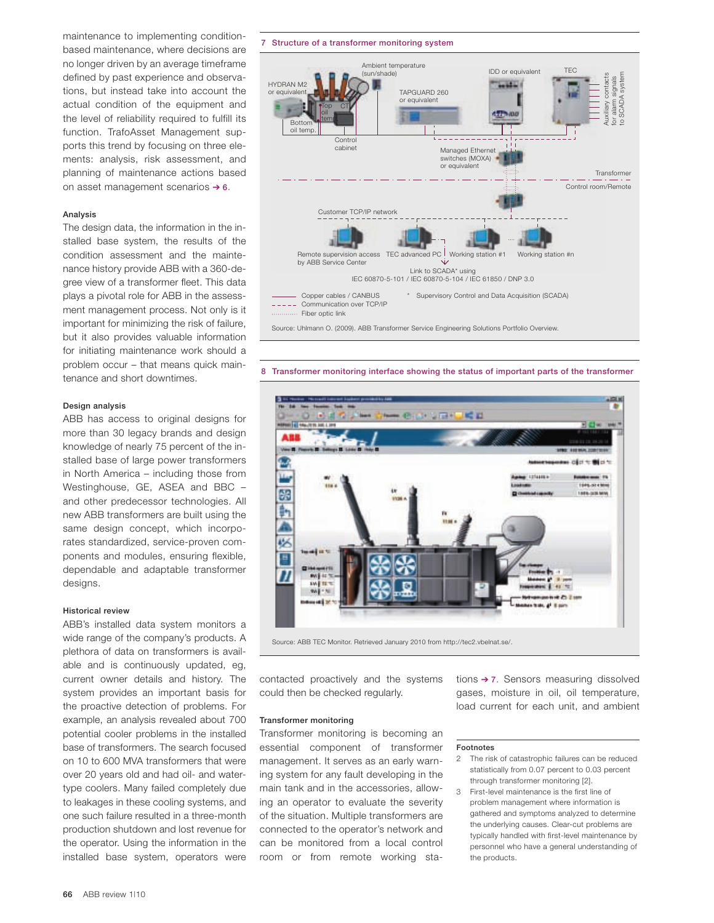maintenance to implementing conditionbased maintenance, where decisions are no longer driven by an average timeframe defined by past experience and observations, but instead take into account the actual condition of the equipment and the level of reliability required to fulfill its function. TrafoAsset Management supports this trend by focusing on three elements: analysis, risk assessment, and planning of maintenance actions based on asset management scenarios  $\rightarrow$  6.

#### Analysis

The design data, the information in the installed base system, the results of the condition assessment and the maintenance history provide ABB with a 360-degree view of a transformer fleet. This data plays a pivotal role for ABB in the assessment management process. Not only is it important for minimizing the risk of failure, but it also provides valuable information for initiating maintenance work should a problem occur – that means quick maintenance and short downtimes.

# Design analysis

ABB has access to original designs for more than 30 legacy brands and design knowledge of nearly 75 percent of the installed base of large power transformers in North America – including those from Westinghouse, GE, ASEA and BBC – and other predecessor technologies. All new ABB transformers are built using the same design concept, which incorporates standardized, service-proven components and modules, ensuring flexible, dependable and adaptable transformer designs.

#### Historical review

ABB's installed data system monitors a wide range of the company's products. A plethora of data on transformers is available and is continuously updated, eg, current owner details and history. The system provides an important basis for the proactive detection of problems. For example, an analysis revealed about 700 potential cooler problems in the installed base of transformers. The search focused on 10 to 600 MVA transformers that were over 20 years old and had oil- and watertype coolers. Many failed completely due to leakages in these cooling systems, and one such failure resulted in a three-month production shutdown and lost revenue for the operator. Using the information in the installed base system, operators were

#### 7 Structure of a transformer monitoring system



8 Transformer monitoring interface showing the status of important parts of the transformer



contacted proactively and the systems could then be checked regularly.

#### Transformer monitoring

Transformer monitoring is becoming an essential component of transformer management. It serves as an early warning system for any fault developing in the main tank and in the accessories, allowing an operator to evaluate the severity of the situation. Multiple transformers are connected to the operator's network and can be monitored from a local control room or from remote working stations  $\rightarrow$  7. Sensors measuring dissolved gases, moisture in oil, oil temperature, load current for each unit, and ambient

#### Footnotes

- 2 The risk of catastrophic failures can be reduced statistically from 0.07 percent to 0.03 percent through transformer monitoring [2].
- 3 First-level maintenance is the first line of problem management where information is gathered and symptoms analyzed to determine the underlying causes. Clear-cut problems are typically handled with first-level maintenance by personnel who have a general understanding of the products.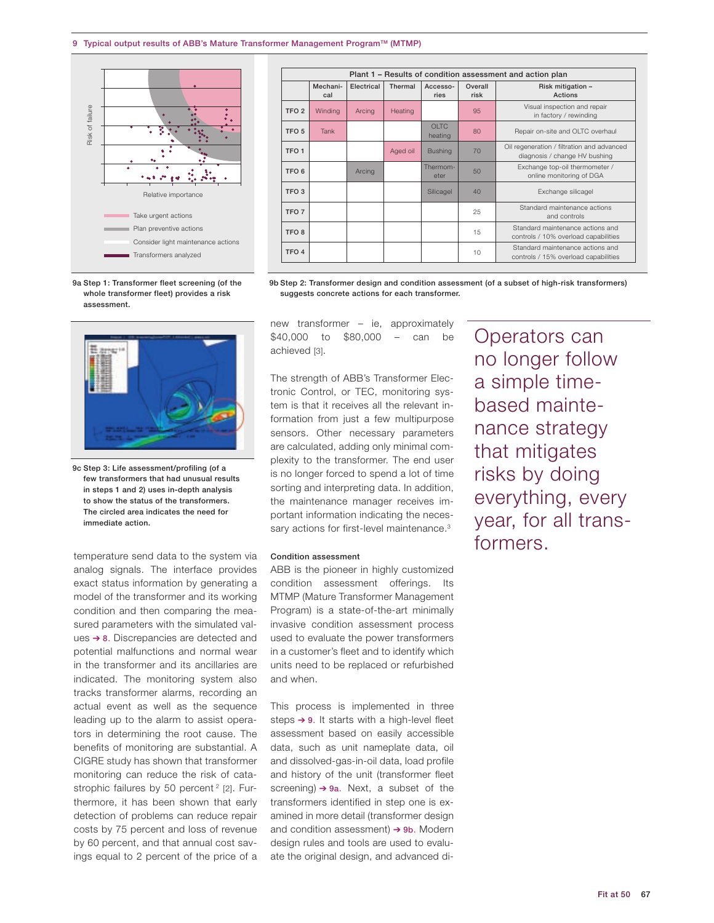

| Plant 1 - Results of condition assessment and action plan |                 |            |          |                        |                 |                                                                             |  |
|-----------------------------------------------------------|-----------------|------------|----------|------------------------|-----------------|-----------------------------------------------------------------------------|--|
|                                                           | Mechani-<br>cal | Flectrical | Thermal  | Accesso-<br>ries       | Overall<br>risk | Risk mitigation -<br>Actions                                                |  |
| TFO <sub>2</sub>                                          | Winding         | Arcina     | Heating  |                        | 95              | Visual inspection and repair<br>in factory / rewinding                      |  |
| TFO <sub>5</sub>                                          | Tank            |            |          | <b>OLTC</b><br>heating | 80              | Repair on-site and OLTC overhaul                                            |  |
| TFO <sub>1</sub>                                          |                 |            | Aged oil | <b>Bushing</b>         | 70              | Oil regeneration / filtration and advanced<br>diagnosis / change HV bushing |  |
| TFO <sub>6</sub>                                          |                 | Arcing     |          | Thermom-<br>eter       | 50              | Exchange top-oil thermometer /<br>online monitoring of DGA                  |  |
| TFO <sub>3</sub>                                          |                 |            |          | Silicagel              | 40              | Exchange silicagel                                                          |  |
| TFO <sub>7</sub>                                          |                 |            |          |                        | 25              | Standard maintenance actions<br>and controls                                |  |
| TFO <sub>8</sub>                                          |                 |            |          |                        | 15              | Standard maintenance actions and<br>controls / 10% overload capabilities    |  |
| TFO <sub>4</sub>                                          |                 |            |          |                        | 10              | Standard maintenance actions and<br>controls / 15% overload capabilities    |  |

9b Step 2: Transformer design and condition assessment (of a subset of high-risk transformers)

9a Step 1: Transformer fleet screening (of the whole transformer fleet) provides a risk assessment.



9c Step 3: Life assessment/profiling (of a few transformers that had unusual results in steps 1 and 2) uses in-depth analysis to show the status of the transformers. The circled area indicates the need for immediate action.

temperature send data to the system via analog signals. The interface provides exact status information by generating a model of the transformer and its working condition and then comparing the measured parameters with the simulated values  $\rightarrow$  8. Discrepancies are detected and potential malfunctions and normal wear in the transformer and its ancillaries are indicated. The monitoring system also tracks transformer alarms, recording an actual event as well as the sequence leading up to the alarm to assist operators in determining the root cause. The benefits of monitoring are substantial. A CIGRE study has shown that transformer monitoring can reduce the risk of catastrophic failures by 50 percent<sup>2</sup> [2]. Furthermore, it has been shown that early detection of problems can reduce repair costs by 75 percent and loss of revenue by 60 percent, and that annual cost savings equal to 2 percent of the price of a new transformer – ie, approximately \$40,000 to \$80,000 – can be achieved [3].

suggests concrete actions for each transformer.

The strength of ABB's Transformer Electronic Control, or TEC, monitoring system is that it receives all the relevant information from just a few multipurpose sensors. Other necessary parameters are calculated, adding only minimal complexity to the transformer. The end user is no longer forced to spend a lot of time sorting and interpreting data. In addition, the maintenance manager receives important information indicating the necessary actions for first-level maintenance.<sup>3</sup>

# Condition assessment

ABB is the pioneer in highly customized condition assessment offerings. Its MTMP (Mature Transformer Management Program) is a state-of-the-art minimally invasive condition assessment process used to evaluate the power transformers in a customer's fleet and to identify which units need to be replaced or refurbished and when.

This process is implemented in three steps  $\rightarrow$  9. It starts with a high-level fleet assessment based on easily accessible data, such as unit nameplate data, oil and dissolved-gas-in-oil data, load profile and history of the unit (transformer fleet screening)  $\rightarrow$  9a. Next, a subset of the transformers identified in step one is examined in more detail (transformer design and condition assessment)  $\rightarrow$  9b. Modern design rules and tools are used to evaluate the original design, and advanced diOperators can no longer follow a simple timebased maintenance strategy that mitigates risks by doing everything, every year, for all transformers.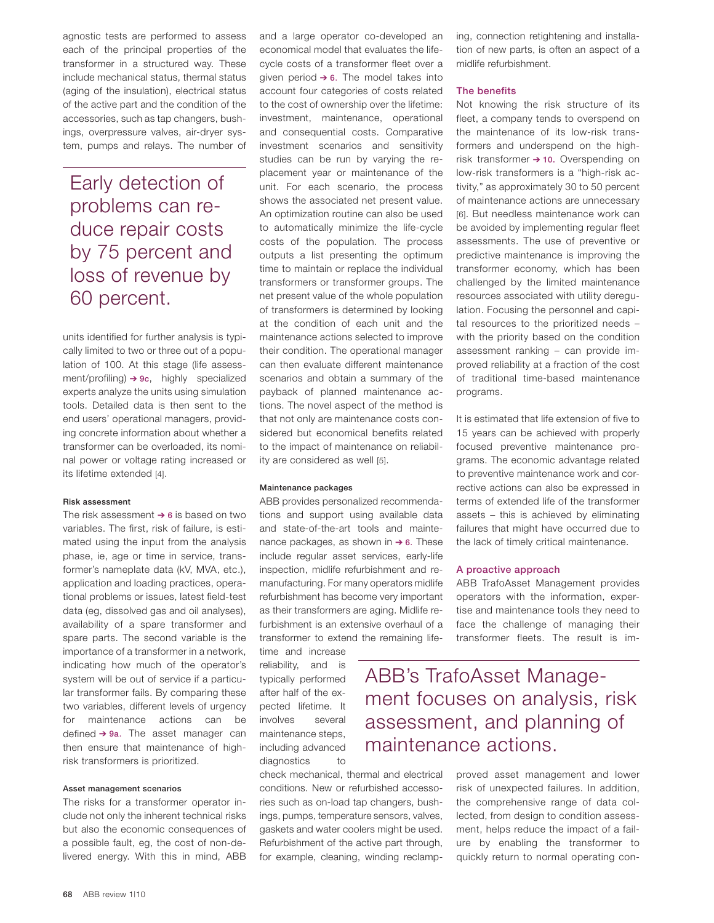agnostic tests are performed to assess each of the principal properties of the transformer in a structured way. These include mechanical status, thermal status (aging of the insulation), electrical status of the active part and the condition of the accessories, such as tap changers, bushings, overpressure valves, air-dryer system, pumps and relays. The number of

Early detection of problems can reduce repair costs by 75 percent and loss of revenue by 60 percent.

units identified for further analysis is typically limited to two or three out of a population of 100. At this stage (life assessment/profiling)  $\rightarrow$  9c, highly specialized experts analyze the units using simulation tools. Detailed data is then sent to the end users' operational managers, providing concrete information about whether a transformer can be overloaded, its nominal power or voltage rating increased or its lifetime extended [4].

#### Risk assessment

The risk assessment  $\rightarrow$  6 is based on two variables. The first, risk of failure, is estimated using the input from the analysis phase, ie, age or time in service, transformer's nameplate data (kV, MVA, etc.), application and loading practices, operational problems or issues, latest field-test data (eg, dissolved gas and oil analyses), availability of a spare transformer and spare parts. The second variable is the importance of a transformer in a network, indicating how much of the operator's system will be out of service if a particular transformer fails. By comparing these two variables, different levels of urgency for maintenance actions can be defined  $\rightarrow$  9a. The asset manager can then ensure that maintenance of highrisk transformers is prioritized.

# Asset management scenarios

The risks for a transformer operator include not only the inherent technical risks but also the economic consequences of a possible fault, eg, the cost of non-delivered energy. With this in mind, ABB

and a large operator co-developed an economical model that evaluates the lifecycle costs of a transformer fleet over a given period  $\rightarrow$  6. The model takes into account four categories of costs related to the cost of ownership over the lifetime: investment, maintenance, operational and consequential costs. Comparative investment scenarios and sensitivity studies can be run by varying the replacement year or maintenance of the unit. For each scenario, the process shows the associated net present value. An optimization routine can also be used to automatically minimize the life-cycle costs of the population. The process outputs a list presenting the optimum time to maintain or replace the individual transformers or transformer groups. The net present value of the whole population of transformers is determined by looking at the condition of each unit and the maintenance actions selected to improve their condition. The operational manager can then evaluate different maintenance scenarios and obtain a summary of the payback of planned maintenance actions. The novel aspect of the method is that not only are maintenance costs considered but economical benefits related to the impact of maintenance on reliability are considered as well [5].

# Maintenance packages

ABB provides personalized recommendations and support using available data and state-of-the-art tools and maintenance packages, as shown in  $\rightarrow$  6. These include regular asset services, early-life inspection, midlife refurbishment and remanufacturing. For many operators midlife refurbishment has become very important as their transformers are aging. Midlife refurbishment is an extensive overhaul of a transformer to extend the remaining life-

time and increase reliability, and is typically performed after half of the expected lifetime. It involves several maintenance steps, including advanced diagnostics to

check mechanical, thermal and electrical conditions. New or refurbished accessories such as on-load tap changers, bushings, pumps, temperature sensors, valves, gaskets and water coolers might be used. Refurbishment of the active part through, for example, cleaning, winding reclamping, connection retightening and installation of new parts, is often an aspect of a midlife refurbishment.

# The benefits

Not knowing the risk structure of its fleet, a company tends to overspend on the maintenance of its low-risk transformers and underspend on the highrisk transformer  $\rightarrow$  10. Overspending on low-risk transformers is a "high-risk activity," as approximately 30 to 50 percent of maintenance actions are unnecessary [6]. But needless maintenance work can be avoided by implementing regular fleet assessments. The use of preventive or predictive maintenance is improving the transformer economy, which has been challenged by the limited maintenance resources associated with utility deregulation. Focusing the personnel and capital resources to the prioritized needs – with the priority based on the condition assessment ranking – can provide improved reliability at a fraction of the cost of traditional time-based maintenance programs.

It is estimated that life extension of five to 15 years can be achieved with properly focused preventive maintenance programs. The economic advantage related to preventive maintenance work and corrective actions can also be expressed in terms of extended life of the transformer assets – this is achieved by eliminating failures that might have occurred due to the lack of timely critical maintenance.

# A proactive approach

ABB TrafoAsset Management provides operators with the information, expertise and maintenance tools they need to face the challenge of managing their transformer fleets. The result is im-

ABB's TrafoAsset Management focuses on analysis, risk assessment, and planning of maintenance actions.

> proved asset management and lower risk of unexpected failures. In addition, the comprehensive range of data collected, from design to condition assessment, helps reduce the impact of a failure by enabling the transformer to quickly return to normal operating con-